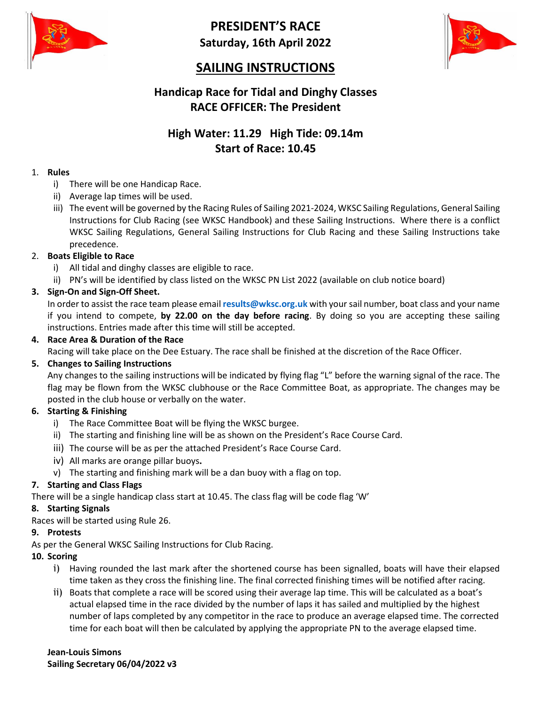

**PRESIDENT'S RACE Saturday, 16th April 2022**



## **SAILING INSTRUCTIONS**

## **Handicap Race for Tidal and Dinghy Classes RACE OFFICER: The President**

## **High Water: 11.29 High Tide: 09.14m Start of Race: 10.45**

#### 1. **Rules**

- i) There will be one Handicap Race.
- ii) Average lap times will be used.
- iii) The event will be governed by the Racing Rules of Sailing 2021-2024, WKSC Sailing Regulations, General Sailing Instructions for Club Racing (see WKSC Handbook) and these Sailing Instructions. Where there is a conflict WKSC Sailing Regulations, General Sailing Instructions for Club Racing and these Sailing Instructions take precedence.

#### 2. **Boats Eligible to Race**

- i) All tidal and dinghy classes are eligible to race.
- ii) PN's will be identified by class listed on the WKSC PN List 2022 (available on club notice board)

### **3. Sign-On and Sign-Off Sheet.**

In order to assist the race team please email **results@wksc.org.uk** with yoursail number, boat class and your name if you intend to compete, **by 22.00 on the day before racing**. By doing so you are accepting these sailing instructions. Entries made after this time will still be accepted.

#### **4. Race Area & Duration of the Race**

Racing will take place on the Dee Estuary. The race shall be finished at the discretion of the Race Officer.

#### **5. Changes to Sailing Instructions**

Any changes to the sailing instructions will be indicated by flying flag "L" before the warning signal of the race. The flag may be flown from the WKSC clubhouse or the Race Committee Boat, as appropriate. The changes may be posted in the club house or verbally on the water.

#### **6. Starting & Finishing**

- i) The Race Committee Boat will be flying the WKSC burgee.
- ii) The starting and finishing line will be as shown on the President's Race Course Card.
- iii) The course will be as per the attached President's Race Course Card.
- iv) All marks are orange pillar buoys**.**
- v) The starting and finishing mark will be a dan buoy with a flag on top.

#### **7. Starting and Class Flags**

There will be a single handicap class start at 10.45. The class flag will be code flag 'W'

#### **8. Starting Signals**

Races will be started using Rule 26.

#### **9. Protests**

As per the General WKSC Sailing Instructions for Club Racing.

- **10. Scoring**
	- i) Having rounded the last mark after the shortened course has been signalled, boats will have their elapsed time taken as they cross the finishing line. The final corrected finishing times will be notified after racing.
	- ii) Boats that complete a race will be scored using their average lap time. This will be calculated as a boat's actual elapsed time in the race divided by the number of laps it has sailed and multiplied by the highest number of laps completed by any competitor in the race to produce an average elapsed time. The corrected time for each boat will then be calculated by applying the appropriate PN to the average elapsed time.

**Jean-Louis Simons Sailing Secretary 06/04/2022 v3**